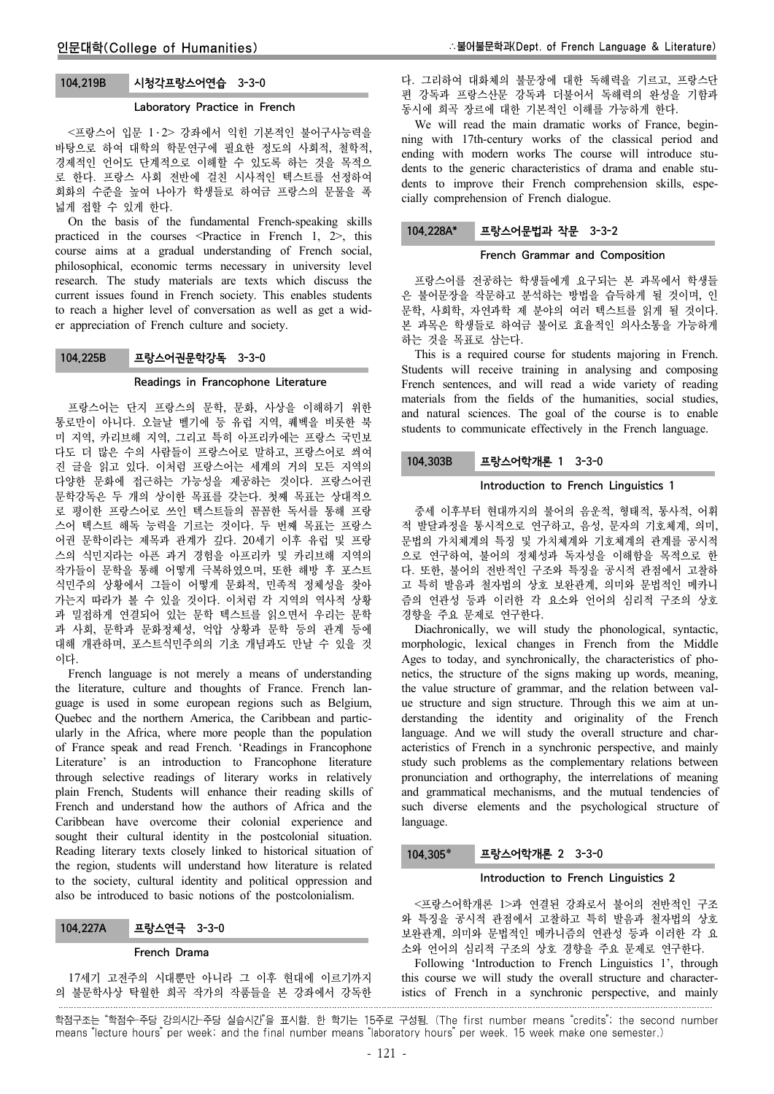#### Laboratory Practice in French

<프랑스어 입문 1·2> 강좌에서 익힌 기본적인 불어구사능력을 바탕으로 하여 대학의 학문연구에 필요한 정도의 사회적, 철학적, 경제적인 언어도 단계적으로 이해할 수 있도록 하는 것을 목적으 로 한다. 프랑스 사회 전반에 걸친 시사적인 텍스트를 선정하여 회화의 수준을 높여 나아가 학생들로 하여금 프랑스의 문물을 폭 넓게 접할 수 있게 한다.

On the basis of the fundamental French-speaking skills practiced in the courses <Practice in French 1, 2>, this course aims at a gradual understanding of French social, philosophical, economic terms necessary in university level research. The study materials are texts which discuss the current issues found in French society. This enables students to reach a higher level of conversation as well as get a wider appreciation of French culture and society.

### 104.225B 프랑스어권문학강독 3-3-0

#### Readings in Francophone Literature

프랑스어는 단지 프랑스의 문학, 문화, 사상을 이해하기 위한 통로만이 아니다. 오늘날 벨기에 등 유럽 지역, 퀘벡을 비롯한 북 미 지역, 카리브해 지역, 그리고 특히 아프리카에는 프랑스 국민보 다도 더 많은 수의 사람들이 프랑스어로 말하고, 프랑스어로 씌여 진 글을 읽고 있다. 이처럼 프랑스어는 세계의 거의 모든 지역의 다양한 문화에 접근하는 가능성을 제공하는 것이다. 프랑스어권 문학강독은 두 개의 상이한 목표를 갖는다. 첫째 목표는 상대적으 로 평이한 프랑스어로 쓰인 텍스트들의 꼼꼼한 독서를 통해 프랑 스어 텍스트 해독 능력을 기르는 것이다. 두 번째 목표는 프랑스 어권 문학이라는 제목과 관계가 깊다. 20세기 이후 유럽 및 프랑 스의 식민지라는 아픈 과거 경험을 아프리카 및 카리브해 지역의 작가들이 문학을 통해 어떻게 극복하였으며, 또한 해방 후 포스트 식민주의 상황에서 그들이 어떻게 문화적, 민족적 정체성을 찾아 가는지 따라가 볼 수 있을 것이다. 이처럼 각 지역의 역사적 상황 과 밀접하게 연결되어 있는 문학 텍스트를 읽으면서 우리는 문학 과 사회, 문학과 문화정체성, 억압 상황과 문학 등의 관계 등에 대해 개관하며, 포스트식민주의의 기초 개념과도 만날 수 있을 것 이다.

French language is not merely a means of understanding the literature, culture and thoughts of France. French language is used in some european regions such as Belgium, Quebec and the northern America, the Caribbean and particularly in the Africa, where more people than the population of France speak and read French. 'Readings in Francophone Literature' is an introduction to Francophone literature through selective readings of literary works in relatively plain French, Students will enhance their reading skills of French and understand how the authors of Africa and the Caribbean have overcome their colonial experience and sought their cultural identity in the postcolonial situation. Reading literary texts closely linked to historical situation of the region, students will understand how literature is related to the society, cultural identity and political oppression and also be introduced to basic notions of the postcolonialism.

# 104.227A 프랑스연극 3-3-0

#### French Drama

17세기 고전주의 시대뿐만 아니라 그 이후 현대에 이르기까지

다. 그리하여 대화체의 불문장에 대한 독해력을 기르고, 프랑스단 편 강독과 프랑스산문 강독과 더불어서 독해력의 완성을 기함과 동시에 희곡 장르에 대한 기본적인 이해를 가능하게 한다.

We will read the main dramatic works of France, beginning with 17th-century works of the classical period and ending with modern works The course will introduce students to the generic characteristics of drama and enable students to improve their French comprehension skills, especially comprehension of French dialogue.

# 104.228A\* 프랑스어문법과 작문 3-3-2

### French Grammar and Composition

프랑스어를 전공하는 학생들에게 요구되는 본 과목에서 학생들 은 불어문장을 작문하고 분석하는 방법을 습득하게 될 것이며, 인 문학, 사회학, 자연과학 제 분야의 여러 텍스트를 읽게 될 것이다. 본 과목은 학생들로 하여금 불어로 효율적인 의사소통을 가능하게 하는 것을 목표로 삼는다.

This is a required course for students majoring in French. Students will receive training in analysing and composing French sentences, and will read a wide variety of reading materials from the fields of the humanities, social studies, and natural sciences. The goal of the course is to enable students to communicate effectively in the French language.

# 104.303B 프랑스어학개론 1 3-3-0

### Introduction to French Linguistics 1

중세 이후부터 현대까지의 불어의 음운적, 형태적, 통사적, 어휘 적 발달과정을 통시적으로 연구하고, 음성, 문자의 기호체계, 의미, 문법의 가치체계의 특징 및 가치체계와 기호체계의 관계를 공시적 으로 연구하여, 불어의 정체성과 독자성을 이해함을 목적으로 한 다. 또한, 불어의 전반적인 구조와 특징을 공시적 관점에서 고찰하 고 특히 발음과 철자법의 상호 보완관계, 의미와 문법적인 메카니 즘의 연관성 등과 이러한 각 요소와 언어의 심리적 구조의 상호 경향을 주요 문제로 연구한다.

Diachronically, we will study the phonological, syntactic, morphologic, lexical changes in French from the Middle Ages to today, and synchronically, the characteristics of phonetics, the structure of the signs making up words, meaning, the value structure of grammar, and the relation between value structure and sign structure. Through this we aim at understanding the identity and originality of the French language. And we will study the overall structure and characteristics of French in a synchronic perspective, and mainly study such problems as the complementary relations between pronunciation and orthography, the interrelations of meaning and grammatical mechanisms, and the mutual tendencies of such diverse elements and the psychological structure of language.

#### 104.305 프랑스어학개론 2 3-3-0

#### Introduction to French Linguistics 2

<프랑스어학개론 1>과 연결된 강좌로서 불어의 전반적인 구조 와 특징을 공시적 관점에서 고찰하고 특히 발음과 철자법의 상호 보완관계, 의미와 문법적인 메카니즘의 연관성 등과 이러한 각 요 소와 언어의 심리적 구조의 상호 경향을 주요 문제로 연구한다.

의 불문학사상 탁월한 희곡 작가의 작품들을 본 강좌에서 강독한 Following 'Introduction to French Linguistics 1', through this course we will study the overall structure and characteristics of French in a synchronic perspective, and mainly

학점구조는 "학점수-주당 강의시간-주당 실습시간"을 표시함. 한 학기는 15주로 구성됨. (The first number means "credits"; the second number means "lecture hours" per week; and the final number means "laboratory hours" per week. 15 week make one semester.)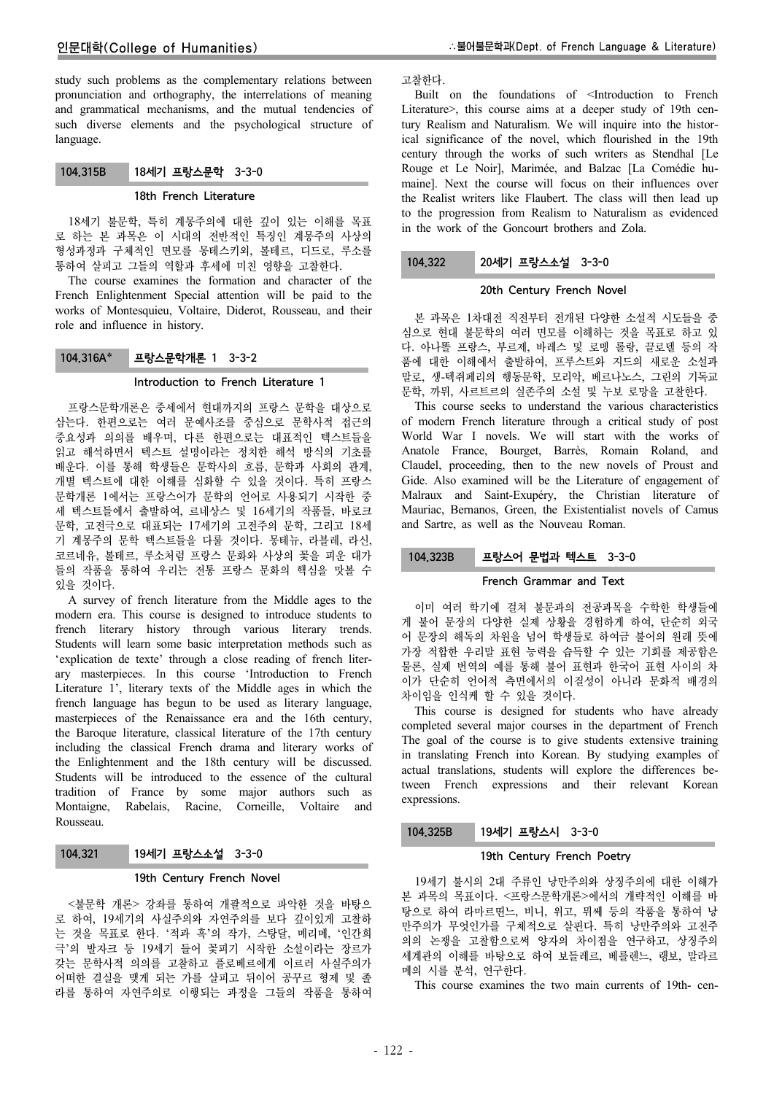study such problems as the complementary relations between pronunciation and orthography, the interrelations of meaning and grammatical mechanisms, and the mutual tendencies of such diverse elements and the psychological structure of language.

# 104.315B 18세기 프랑스문학 3-3-0

#### 18th French Literature

18세기 불문학, 특히 계몽주의에 대한 깊이 있는 이해를 목표 로 하는 본 과목은 이 시대의 전반적인 특징인 계몽주의 사상의 형성과정과 구체적인 면모를 몽테스키외, 볼테르, 디드로, 루소를 통하여 살피고 그들의 역할과 후세에 미친 영향을 고찰한다.

The course examines the formation and character of the French Enlightenment Special attention will be paid to the works of Montesquieu, Voltaire, Diderot, Rousseau, and their role and influence in history.

# 104.316A\* 프랑스문학개론 1 3-3-2

#### Introduction to French Literature 1

프랑스문학개론은 중세에서 현대까지의 프랑스 문학을 대상으로 삼는다. 한편으로는 여러 문예사조를 중심으로 문학사적 접근의 중요성과 의의를 배우며, 다른 한편으로는 대표적인 텍스트들을 읽고 해석하면서 텍스트 설명이라는 정치한 해석 방식의 기초를 배운다. 이를 통해 학생들은 문학사의 흐름, 문학과 사회의 관계, 개별 텍스트에 대한 이해를 심화할 수 있을 것이다. 특히 프랑스 문학개론 1에서는 프랑스어가 문학의 언어로 사용되기 시작한 중 세 텍스트들에서 출발하여, 르네상스 및 16세기의 작품들, 바로크 문학, 고전극으로 대표되는 17세기의 고전주의 문학, 그리고 18세 기 계몽주의 문학 텍스트들을 다룰 것이다. 몽테뉴, 라블레, 라신, 코르네유, 볼테르, 루소처럼 프랑스 문화와 사상의 꽃을 피운 대가 들의 작품을 통하여 우리는 전통 프랑스 문화의 핵심을 맛볼 수 있을 것이다.

A survey of french literature from the Middle ages to the modern era. This course is designed to introduce students to french literary history through various literary trends. Students will learn some basic interpretation methods such as 'explication de texte' through a close reading of french literary masterpieces. In this course 'Introduction to French Literature 1', literary texts of the Middle ages in which the french language has begun to be used as literary language, masterpieces of the Renaissance era and the 16th century, the Baroque literature, classical literature of the 17th century including the classical French drama and literary works of the Enlightenment and the 18th century will be discussed. Students will be introduced to the essence of the cultural tradition of France by some major authors such as Montaigne, Rabelais, Racine, Corneille, Voltaire and Rousseau.

# 104.321 19세기 프랑스소설 3-3-0

#### 19th Century French Novel

<불문학 개론> 강좌를 통하여 개괄적으로 파악한 것을 바탕으 로 하여, 19세기의 사실주의와 자연주의를 보다 깊이있게 고찰하 는 것을 목표로 한다. '적과 흑'의 작가, 스탕달, 메리메, '인간희 극'의 발자크 등 19세기 들어 꽃피기 시작한 소설이라는 장르가 갖는 문학사적 의의를 고찰하고 플로베르에게 이르러 사실주의가 어떠한 결실을 맺게 되는 가를 살피고 뒤이어 공꾸르 형제 및 졸 라를 통하여 자연주의로 이행되는 과정을 그들의 작품을 통하여 고찰한다.

Built on the foundations of <Introduction to French Literature>, this course aims at a deeper study of 19th century Realism and Naturalism. We will inquire into the historical significance of the novel, which flourished in the 19th century through the works of such writers as Stendhal [Le Rouge et Le Noir], Marimée, and Balzac [La Comédie humaine]. Next the course will focus on their influences over the Realist writers like Flaubert. The class will then lead up to the progression from Realism to Naturalism as evidenced in the work of the Goncourt brothers and Zola.

# 104.322 20세기 프랑스소설 3-3-0

#### 20th Century French Novel

본 과목은 1차대전 직전부터 전개된 다양한 소설적 시도들을 중 심으로 현대 불문학의 여러 면모를 이해하는 것을 목표로 하고 있 다. 아나똘 프랑스, 부르제, 바레스 및 로멩 롤랑, 끌로델 등의 작 품에 대한 이해에서 출발하여, 프루스트와 지드의 새로운 소설과 말로, 생-텍쥐페리의 행동문학, 모리악, 베르나노스, 그린의 기독교 문학, 까뮈, 사르트르의 실존주의 소설 및 누보 로망을 고찰한다.

This course seeks to understand the various characteristics of modern French literature through a critical study of post World War I novels. We will start with the works of Anatole France, Bourget, Barrès, Romain Roland, and Claudel, proceeding, then to the new novels of Proust and Gide. Also examined will be the Literature of engagement of Malraux and Saint-Exupéry, the Christian literature of Mauriac, Bernanos, Green, the Existentialist novels of Camus and Sartre, as well as the Nouveau Roman.

### 104.323B 프랑스어 문법과 텍스트 3-3-0

### French Grammar and Text

이미 여러 학기에 걸쳐 불문과의 전공과목을 수학한 학생들에 게 불어 문장의 다양한 실제 상황을 경험하게 하여, 단순히 외국 어 문장의 해독의 차원을 넘어 학생들로 하여금 불어의 원래 뜻에 가장 적합한 우리말 표현 능력을 습득할 수 있는 기회를 제공함은 물론, 실제 번역의 예를 통해 불어 표현과 한국어 표현 사이의 차 이가 단순히 언어적 측면에서의 이질성이 아니라 문화적 배경의 차이임을 인식케 할 수 있을 것이다.

This course is designed for students who have already completed several major courses in the department of French The goal of the course is to give students extensive training in translating French into Korean. By studying examples of actual translations, students will explore the differences between French expressions and their relevant Korean expressions.

### 104.325B 19세기 프랑스시 3-3-0

#### 19th Century French Poetry

19세기 불시의 2대 주류인 낭만주의와 상징주의에 대한 이해가 본 과목의 목표이다. <프랑스문학개론>에서의 개략적인 이해를 바 탕으로 하여 라마르띤느, 비니, 위고, 뮈쎄 등의 작품을 통하여 낭 만주의가 무엇인가를 구체적으로 살핀다. 특히 낭만주의와 고전주 의의 논쟁을 고찰함으로써 양자의 차이점을 연구하고, 상징주의 세계관의 이해를 바탕으로 하여 보들레르, 베를렌느, 랭보, 말라르 메의 시를 분석, 연구한다.

This course examines the two main currents of 19th- cen-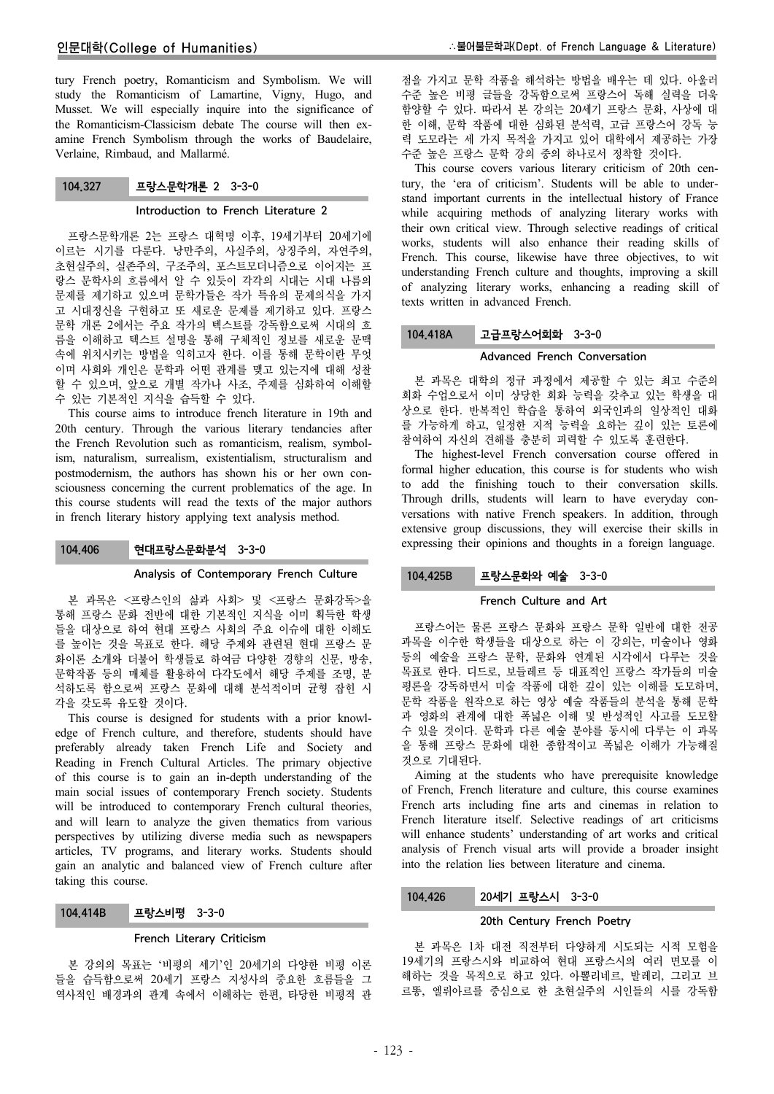tury French poetry, Romanticism and Symbolism. We will study the Romanticism of Lamartine, Vigny, Hugo, and Musset. We will especially inquire into the significance of the Romanticism-Classicism debate The course will then examine French Symbolism through the works of Baudelaire, Verlaine, Rimbaud, and Mallarmé.

## 104.327 프랑스문학개론 2 3-3-0

### Introduction to French Literature 2

프랑스문학개론 2는 프랑스 대혁명 이후, 19세기부터 20세기에 이르는 시기를 다룬다. 낭만주의, 사실주의, 상징주의, 자연주의, 초현실주의, 실존주의, 구조주의, 포스트모더니즘으로 이어지는 프 랑스 문학사의 흐름에서 알 수 있듯이 각각의 시대는 시대 나름의 문제를 제기하고 있으며 문학가들은 작가 특유의 문제의식을 가지 고 시대정신을 구현하고 또 새로운 문제를 제기하고 있다. 프랑스 문학 개론 2에서는 주요 작가의 텍스트를 강독함으로써 시대의 흐 름을 이해하고 텍스트 설명을 통해 구체적인 정보를 새로운 문맥 속에 위치시키는 방법을 익히고자 한다. 이를 통해 문학이란 무엇 이며 사회와 개인은 문학과 어떤 관계를 맺고 있는지에 대해 성찰 할 수 있으며, 앞으로 개별 작가나 사조, 주제를 심화하여 이해할 수 있는 기본적인 지식을 습득할 수 있다.

This course aims to introduce french literature in 19th and 20th century. Through the various literary tendancies after the French Revolution such as romanticism, realism, symbolism, naturalism, surrealism, existentialism, structuralism and postmodernism, the authors has shown his or her own consciousness concerning the current problematics of the age. In this course students will read the texts of the major authors in french literary history applying text analysis method.

### 104.406 현대프랑스문화분석 3-3-0

### Analysis of Contemporary French Culture

본 과목은 <프랑스인의 삶과 사회> 및 <프랑스 문화강독>을 통해 프랑스 문화 전반에 대한 기본적인 지식을 이미 획득한 학생 들을 대상으로 하여 현대 프랑스 사회의 주요 이슈에 대한 이해도 를 높이는 것을 목표로 한다. 해당 주제와 관련된 현대 프랑스 문 화이론 소개와 더불어 학생들로 하여금 다양한 경향의 신문, 방송, 문학작품 등의 매체를 활용하여 다각도에서 해당 주제를 조명, 분 석하도록 함으로써 프랑스 문화에 대해 분석적이며 균형 잡힌 시 각을 갖도록 유도할 것이다.

This course is designed for students with a prior knowledge of French culture, and therefore, students should have preferably already taken French Life and Society and Reading in French Cultural Articles. The primary objective of this course is to gain an in-depth understanding of the main social issues of contemporary French society. Students will be introduced to contemporary French cultural theories, and will learn to analyze the given thematics from various perspectives by utilizing diverse media such as newspapers articles, TV programs, and literary works. Students should gain an analytic and balanced view of French culture after taking this course.

# 104.414B 프랑스비평 3-3-0

### French Literary Criticism

본 강의의 목표는 '비평의 세기'인 20세기의 다양한 비평 이론 들을 습득함으로써 20세기 프랑스 지성사의 중요한 흐름들을 그 역사적인 배경과의 관계 속에서 이해하는 한편, 타당한 비평적 관

점을 가지고 문학 작품을 해석하는 방법을 배우는 데 있다. 아울러 수준 높은 비평 글들을 강독함으로써 프랑스어 독해 실력을 더욱 함양할 수 있다. 따라서 본 강의는 20세기 프랑스 문화, 사상에 대 한 이해, 문학 작품에 대한 심화된 분석력, 고급 프랑스어 강독 능 력 도모라는 세 가지 목적을 가지고 있어 대학에서 제공하는 가장 수준 높은 프랑스 문학 강의 중의 하나로서 정착할 것이다.

This course covers various literary criticism of 20th century, the 'era of criticism'. Students will be able to understand important currents in the intellectual history of France while acquiring methods of analyzing literary works with their own critical view. Through selective readings of critical works, students will also enhance their reading skills of French. This course, likewise have three objectives, to wit understanding French culture and thoughts, improving a skill of analyzing literary works, enhancing a reading skill of texts written in advanced French.

### 104.418A 고급프랑스어회화 3-3-0

### Advanced French Conversation

본 과목은 대학의 정규 과정에서 제공할 수 있는 최고 수준의 회화 수업으로서 이미 상당한 회화 능력을 갖추고 있는 학생을 대 상으로 한다. 반복적인 학습을 통하여 외국인과의 일상적인 대화 를 가능하게 하고, 일정한 지적 능력을 요하는 깊이 있는 토론에 참여하여 자신의 견해를 충분히 피력할 수 있도록 훈련한다.

The highest-level French conversation course offered in formal higher education, this course is for students who wish to add the finishing touch to their conversation skills. Through drills, students will learn to have everyday conversations with native French speakers. In addition, through extensive group discussions, they will exercise their skills in expressing their opinions and thoughts in a foreign language.

# 104.425B 프랑스문화와 예술 3-3-0

### French Culture and Art

프랑스어는 물론 프랑스 문화와 프랑스 문학 일반에 대한 전공 과목을 이수한 학생들을 대상으로 하는 이 강의는, 미술이나 영화 등의 예술을 프랑스 문학, 문화와 연계된 시각에서 다루는 것을 목표로 한다. 디드로, 보들레르 등 대표적인 프랑스 작가들의 미술 평론을 강독하면서 미술 작품에 대한 깊이 있는 이해를 도모하며, 문학 작품을 원작으로 하는 영상 예술 작품들의 분석을 통해 문학 과 영화의 관계에 대한 폭넓은 이해 및 반성적인 사고를 도모할 수 있을 것이다. 문학과 다른 예술 분야를 동시에 다루는 이 과목 을 통해 프랑스 문화에 대한 종합적이고 폭넓은 이해가 가능해질 것으로 기대된다.

Aiming at the students who have prerequisite knowledge of French, French literature and culture, this course examines French arts including fine arts and cinemas in relation to French literature itself. Selective readings of art criticisms will enhance students' understanding of art works and critical analysis of French visual arts will provide a broader insight into the relation lies between literature and cinema.

### 104.426 20세기 프랑스시 3-3-0

### 20th Century French Poetry

본 과목은 1차 대전 직전부터 다양하게 시도되는 시적 모험을 19세기의 프랑스시와 비교하여 현대 프랑스시의 여러 면모를 이 해하는 것을 목적으로 하고 있다. 아뽈리네르, 발레리, 그리고 브 르똥, 엘뤼아르를 중심으로 한 초현실주의 시인들의 시를 강독함